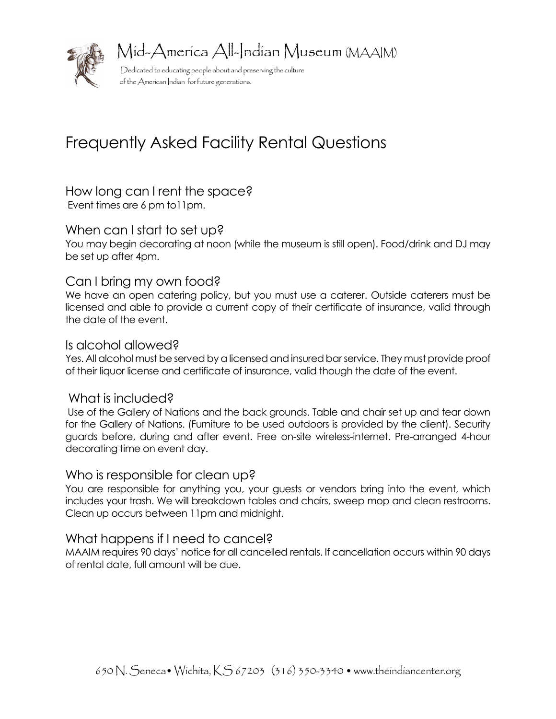

Mid-America All-Indian Museum (MAAIM)

 Dedicated to educating people about and preserving the culture of the American Indian for future generations.

# Frequently Asked Facility Rental Questions

How long can I rent the space? Event times are 6 pm to11pm.

#### When can I start to set up?

You may begin decorating at noon (while the museum is still open). Food/drink and DJ may be set up after 4pm.

#### Can I bring my own food?

We have an open catering policy, but you must use a caterer. Outside caterers must be licensed and able to provide a current copy of their certificate of insurance, valid through the date of the event.

#### Is alcohol allowed?

Yes. All alcohol must be served by a licensed and insured bar service. They must provide proof of their liquor license and certificate of insurance, valid though the date of the event.

#### What is included?

Use of the Gallery of Nations and the back grounds. Table and chair set up and tear down for the Gallery of Nations. (Furniture to be used outdoors is provided by the client). Security guards before, during and after event. Free on-site wireless-internet. Pre-arranged 4-hour decorating time on event day.

#### Who is responsible for clean up?

You are responsible for anything you, your guests or vendors bring into the event, which includes your trash. We will breakdown tables and chairs, sweep mop and clean restrooms. Clean up occurs between 11pm and midnight.

#### What happens if I need to cancel?

MAAIM requires 90 days' notice for all cancelled rentals. If cancellation occurs within 90 days of rental date, full amount will be due.